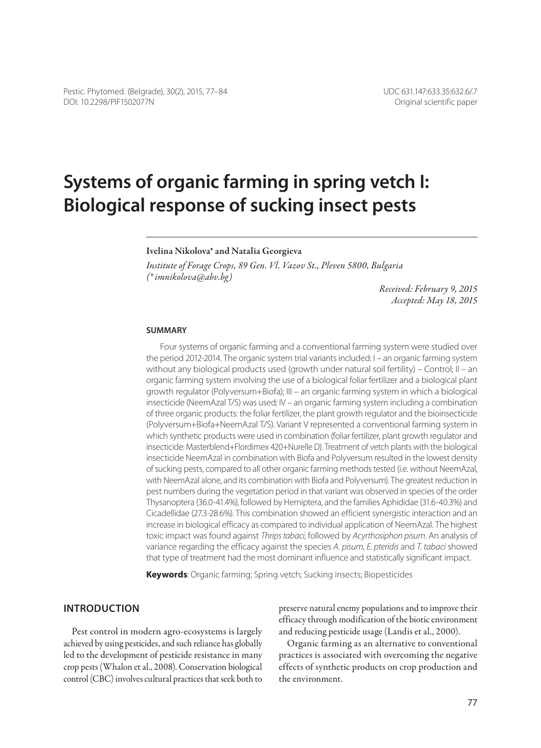# **Systems of organic farming in spring vetch I: Biological response of sucking insect pests**

#### Ivelina Nikolova\* and Natalia Georgieva

*Institute of Forage Crops, 89 Gen. Vl. Vazov St., Pleven 5800, Bulgaria (\* imnikolova@abv.bg)*

> *Received: February 9, 2015 Accepted: May 18, 2015*

#### **Summary**

Four systems of organic farming and a conventional farming system were studied over the period 2012-2014. The organic system trial variants included: I – an organic farming system without any biological products used (growth under natural soil fertility) – Control; II – an organic farming system involving the use of a biological foliar fertilizer and a biological plant growth regulator (Polyversum+Biofa); III – an organic farming system in which a biological insecticide (NeemAzal T/S) was used; IV – an organic farming system including a combination of three organic products: the foliar fertilizer, the plant growth regulator and the bioinsecticide (Polyversum+Biofa+NeemAzal T/S). Variant V represented a conventional farming system in which synthetic products were used in combination (foliar fertilizer, plant growth regulator and insecticide: Masterblend+Flordimex 420+Nurelle D). Treatment of vetch plants with the biological insecticide NeemAzal in combination with Biofa and Polyversum resulted in the lowest density of sucking pests, compared to all other organic farming methods tested (i.e. without NeemAzal, with NeemAzal alone, and its combination with Biofa and Polyversum). The greatest reduction in pest numbers during the vegetation period in that variant was observed in species of the order Thysanoptera (36.0-41.4%), followed by Hemiptera, and the families Aphididae (31.6-40.3%) and Cicadellidae (27.3-28.6%). This combination showed an efficient synergistic interaction and an increase in biological efficacy as compared to individual application of NeemAzal. The highest toxic impact was found against *Thrips tabaci*, followed by *Acyrthosiphon pisum*. An analysis of variance regarding the efficacy against the species *A. pisum*, *E. pteridis* and *T. tabaci* showed that type of treatment had the most dominant influence and statistically significant impact.

**Keywords**: Organic farming; Spring vetch; Sucking insects; Biopesticides

### **Introduction**

Pest control in modern agro-ecosystems is largely achieved by using pesticides, and such reliance has globally led to the development of pesticide resistance in many crop pests (Whalon et al., 2008). Conservation biological control (CBC) involves cultural practices that seek both to preserve natural enemy populations and to improve their efficacy through modification of the biotic environment and reducing pesticide usage (Landis et al., 2000).

Organic farming as an alternative to conventional practices is associated with overcoming the negative effects of synthetic products on crop production and the environment.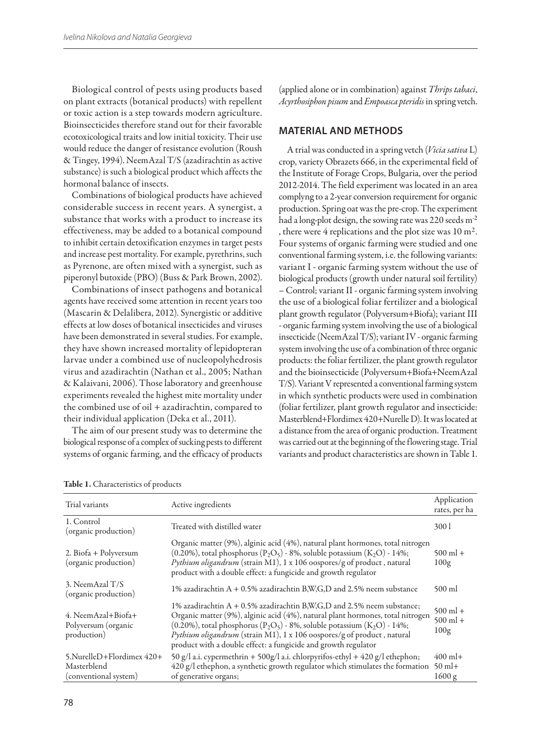Biological control of pests using products based on plant extracts (botanical products) with repellent or toxic action is a step towards modern agriculture. Bioinsecticides therefore stand out for their favorable ecotoxicological traits and low initial toxicity. Their use would reduce the danger of resistance evolution (Roush & Tingey, 1994). NeemAzal T/S (azadirachtin as active substance) is such a biological product which affects the hormonal balance of insects.

Combinations of biological products have achieved considerable success in recent years. A synergist, a substance that works with a product to increase its effectiveness, may be added to a botanical compound to inhibit certain detoxification enzymes in target pests and increase pest mortality. For example, pyrethrins, such as Pyrenone, are often mixed with a synergist, such as piperonyl butoxide (PBO) (Buss & Park Brown, 2002).

Combinations of insect pathogens and botanical agents have received some attention in recent years too (Mascarin & Delalibera, 2012). Synergistic or additive effects at low doses of botanical insecticides and viruses have been demonstrated in several studies. For example, they have shown increased mortality of lepidopteran larvae under a combined use of nucleopolyhedrosis virus and azadirachtin (Nathan et al., 2005; Nathan & Kalaivani, 2006). Those laboratory and greenhouse experiments revealed the highest mite mortality under the combined use of oil + azadirachtin, compared to their individual application (Deka et al., 2011).

The aim of our present study was to determine the biological response of a complex of sucking pests to different systems of organic farming, and the efficacy of products (applied alone or in combination) against *Thrips tabaci*, *Acyrthosiphon pisum* and *Empoasca pteridis* in spring vetch.

## **Material and methods**

A trial was conducted in a spring vetch (*Vicia sativa* L) crop, variety Obrazets 666, in the experimental field of the Institute of Forage Crops, Bulgaria, over the period 2012-2014. The field experiment was located in an area complyng to a 2-year conversion requirement for organic production. Spring oat was the pre-crop. The experiment had a long-plot design, the sowing rate was 220 seeds m-2 , there were  $4$  replications and the plot size was  $10 \text{ m}^2$ . Four systems of organic farming were studied and one conventional farming system, i.e. the following variants: variant I - organic farming system without the use of biological products (growth under natural soil fertility) – Control; variant II - organic farming system involving the use of a biological foliar fertilizer and a biological plant growth regulator (Polyversum+Biofa); variant III - organic farming system involving the use of a biological insecticide (NeemAzal T/S); variant IV - organic farming system involving the use of a combination of three organic products: the foliar fertilizer, the plant growth regulator and the bioinsecticide (Polyversum+Biofa+NeemAzal T/S). Variant V represented a conventional farming system in which synthetic products were used in combination (foliar fertilizer, plant growth regulator and insecticide: Masterblend+Flordimex 420+Nurelle D). It was located at a distance from the area of organic production. Treatment was carried out at the beginning of the flowering stage. Trial variants and product characteristics are shown in Table 1.

| Trial variants                                                    | Active ingredients                                                                                                                                                                                                                                                                                                                                                                                                   | Application<br>rates, per ha     |
|-------------------------------------------------------------------|----------------------------------------------------------------------------------------------------------------------------------------------------------------------------------------------------------------------------------------------------------------------------------------------------------------------------------------------------------------------------------------------------------------------|----------------------------------|
| 1. Control<br>(organic production)                                | Treated with distilled water                                                                                                                                                                                                                                                                                                                                                                                         | 300 l                            |
| 2. Biofa + Polyversum<br>(organic production)                     | Organic matter (9%), alginic acid (4%), natural plant hormones, total nitrogen<br>(0.20%), total phosphorus $(P_2O_5)$ - 8%, soluble potassium $(K_2O)$ - 14%;<br>Pythium oligandrum (strain M1), 1 x 106 oospores/g of product, natural<br>product with a double effect: a fungicide and growth regulator                                                                                                           | $500$ ml +<br>100g               |
| 3. NeemAzal T/S<br>(organic production)                           | 1% azadirachtin $A + 0.5\%$ azadirachtin B,W,G,D and 2.5% neem substance                                                                                                                                                                                                                                                                                                                                             | $500$ ml                         |
| 4. Neem Azal + Biofa +<br>Polyversum (organic<br>production)      | 1% azadirachtin A + 0.5% azadirachtin B,W,G,D and 2.5% neem substance;<br>Organic matter (9%), alginic acid (4%), natural plant hormones, total nitrogen<br>(0.20%), total phosphorus (P <sub>2</sub> O <sub>5</sub> ) - 8%, soluble potassium (K <sub>2</sub> O) - 14%;<br>Pythium oligandrum (strain M1), 1 x 106 oospores/g of product, natural<br>product with a double effect: a fungicide and growth regulator | $500$ ml +<br>$500$ ml +<br>100g |
| 5.NurelleD+Flordimex 420+<br>Masterblend<br>(conventional system) | 50 g/l a.i. cypermethrin + 500g/l a.i. chlorpyrifos-ethyl + 420 g/l ethephon;<br>420 g/l ethephon, a synthetic growth regulator which stimulates the formation<br>of generative organs;                                                                                                                                                                                                                              | $400$ ml+<br>$50$ ml+<br>1600 g  |

Table 1. Characteristics of products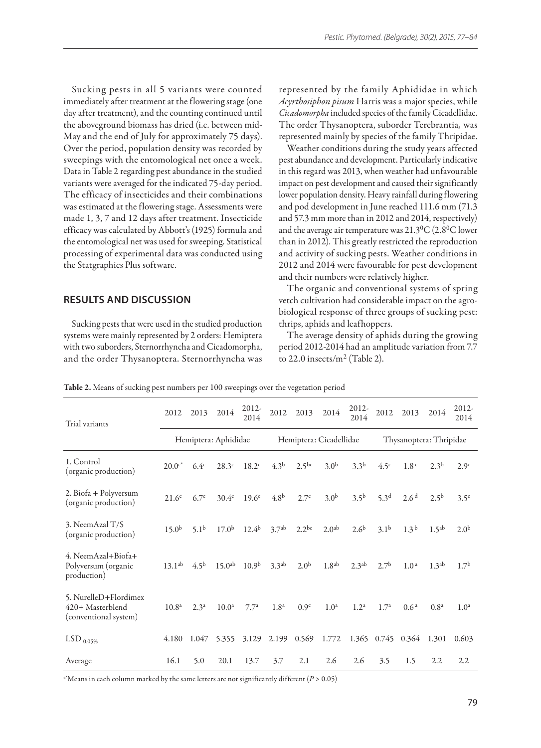Sucking pests in all 5 variants were counted immediately after treatment at the flowering stage (one day after treatment), and the counting continued until the aboveground biomass has dried (i.e. between mid-May and the end of July for approximately 75 days). Over the period, population density was recorded by sweepings with the entomological net once a week. Data in Table 2 regarding pest abundance in the studied variants were averaged for the indicated 75-day period. The efficacy of insecticides and their combinations was estimated at the flowering stage. Assessments were made 1, 3, 7 and 12 days after treatment. Insecticide efficacy was calculated by Abbott's (1925) formula and the entomological net was used for sweeping. Statistical processing of experimental data was conducted using the Statgraphics Plus software.

## **Results and Discussion**

Sucking pests that were used in the studied production systems were mainly represented by 2 orders: Hemiptera with two suborders, Sternorrhyncha and Cicadomorpha, and the order Thysanoptera. Sternorrhyncha was

represented by the family Aphididae in which *Acyrthosiphon pisum* Harris was a major species, while *Cicadomorpha* included species of the family Cicadellidae. The order Thysanoptera, suborder Terebrantia*,* was represented mainly by species of the family Thripidae.

Weather conditions during the study years affected pest abundance and development. Particularly indicative in this regard was 2013, when weather had unfavourable impact on pest development and caused their significantly lower population density. Heavy rainfall during flowering and pod development in June reached 111.6 mm (71.3 and 57.3 mm more than in 2012 and 2014, respectively) and the average air temperature was  $21.3^{\circ}C$  (2.8°C lower than in 2012). This greatly restricted the reproduction and activity of sucking pests. Weather conditions in 2012 and 2014 were favourable for pest development and their numbers were relatively higher.

The organic and conventional systems of spring vetch cultivation had considerable impact on the agrobiological response of three groups of sucking pest: thrips, aphids and leafhoppers.

The average density of aphids during the growing period 2012-2014 had an amplitude variation from 7.7 to 22.0 insects/m2 (Table 2).

| Trial variants                                                     | 2012                 | 2013             | 2014               | 2012-<br>2014           | 2012              | 2013              | 2014                    | 2012-<br>2014     | 2012              | 2013             | 2014              | $2012 -$<br>2014 |
|--------------------------------------------------------------------|----------------------|------------------|--------------------|-------------------------|-------------------|-------------------|-------------------------|-------------------|-------------------|------------------|-------------------|------------------|
|                                                                    | Hemiptera: Aphididae |                  |                    | Hemiptera: Cicadellidae |                   |                   | Thysanoptera: Thripidae |                   |                   |                  |                   |                  |
| 1. Control<br>(organic production)                                 | $20.0c^*$            | 6.4 <sup>c</sup> | 28.3c              | 18.2 <sup>c</sup>       | 4.3 <sup>b</sup>  | 2.5 <sup>bc</sup> | 3.0 <sup>b</sup>        | $3.3^{b}$         | 4.5 <sup>c</sup>  | 1.8 <sup>c</sup> | 2.3 <sup>b</sup>  | 2.9c             |
| 2. Biofa + Polyversum<br>(organic production)                      | 21.6 <sup>c</sup>    | 6.7 <sup>c</sup> | 30.4c              | 19.6 <sup>c</sup>       | 4.8 <sup>b</sup>  | 2.7 <sup>c</sup>  | 3.0 <sup>b</sup>        | 3.5 <sup>b</sup>  | 5.3 <sup>d</sup>  | 2.6 <sup>d</sup> | $2.5^{b}$         | 3.5 <sup>c</sup> |
| 3. NeemAzal T/S<br>(organic production)                            | 15.0 <sup>b</sup>    | 5.1 <sup>b</sup> | 17.0 <sup>b</sup>  | $12.4^{b}$              | 3.7 <sup>ab</sup> | $2.2^{bc}$        | 2.0 <sup>ab</sup>       | 2.6 <sup>b</sup>  | 3.1 <sup>b</sup>  | 1.3 <sup>b</sup> | 1.5 <sup>ab</sup> | 2.0 <sup>b</sup> |
| 4. Neem Azal + Biofa +<br>Polyversum (organic<br>production)       | $13.1^{ab}$          | 4.5 <sup>b</sup> | 15.0 <sup>ab</sup> | 10.9 <sup>b</sup>       | 3.3 <sup>ab</sup> | 2.0 <sup>b</sup>  | 1.8 <sup>ab</sup>       | 2.3 <sup>ab</sup> | 2.7 <sup>b</sup>  | 1.0 <sup>a</sup> | 1.3 <sup>ab</sup> | 1.7 <sup>b</sup> |
| 5. NurelleD+Flordimex<br>420+ Masterblend<br>(conventional system) | 10.8 <sup>a</sup>    | 2.3 <sup>a</sup> | 10.0 <sup>a</sup>  | 7.7 <sup>a</sup>        | 1.8 <sup>a</sup>  | 0.9 <sup>c</sup>  | 1.0 <sup>a</sup>        | 1.2 <sup>a</sup>  | 1.7 <sup>a</sup>  | 0.6 <sup>a</sup> | 0.8 <sup>a</sup>  | 1.0 <sup>a</sup> |
| LSD $_{0.05\%}$                                                    | 4.180                | 1.047            | 5.355              | 3.129                   | 2.199             | 0.569             | 1.772                   |                   | 1.365 0.745 0.364 |                  | 1.301             | 0.603            |
| Average                                                            | 16.1                 | 5.0              | 20.1               | 13.7                    | 3.7               | 2.1               | 2.6                     | 2.6               | 3.5               | 1.5              | 2.2               | 2.2              |

Table 2. Means of sucking pest numbers per 100 sweepings over the vegetation period

a\*Means in each column marked by the same letters are not significantly different (*P* > 0.05)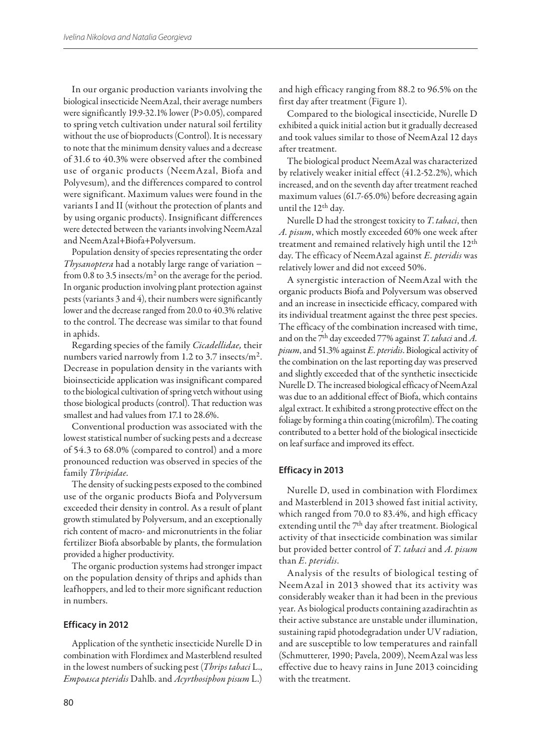In our organic production variants involving the biological insecticide NeemAzal, their average numbers were significantly 19.9-32.1% lower (P>0.05), compared to spring vetch cultivation under natural soil fertility without the use of bioproducts (Control). It is necessary to note that the minimum density values and a decrease of 31.6 to 40.3% were observed after the combined use of organic products (NeemAzal, Biofa and Polyvesum), and the differences compared to control were significant. Maximum values were found in the variants I and II (without the protection of plants and by using organic products). Insignificant differences were detected between the variants involving NeemAzal and NeemAzal+Biofa+Polyversum.

Population density of species representating the order *Thysanoptera* had a notably large range of variation − from 0.8 to 3.5 insects/ $m<sup>2</sup>$  on the average for the period. In organic production involving plant protection against pests (variants 3 and 4), their numbers were significantly lower and the decrease ranged from 20.0 to 40.3% relative to the control. The decrease was similar to that found in aphids.

Regarding species of the family *Cicadellidae,* their numbers varied narrowly from 1.2 to 3.7 insects/m2. Decrease in population density in the variants with bioinsecticide application was insignificant compared to the biological cultivation of spring vetch without using those biological products (control). That reduction was smallest and had values from 17.1 to 28.6%.

Conventional production was associated with the lowest statistical number of sucking pests and a decrease of 54.3 to 68.0% (compared to control) and a more pronounced reduction was observed in species of the family *Thripidae*.

The density of sucking pests exposed to the combined use of the organic products Biofa and Polyversum exceeded their density in control. As a result of plant growth stimulated by Polyversum, and an exceptionally rich content of macro- and micronutrients in the foliar fertilizer Biofa absorbable by plants, the formulation provided a higher productivity.

The organic production systems had stronger impact on the population density of thrips and aphids than leafhoppers, and led to their more significant reduction in numbers.

#### **Efficacy in 2012**

Application of the synthetic insecticide Nurelle D in combination with Flordimex and Masterblend resulted in the lowest numbers of sucking pest (*Thrips tabaci* L., *Empoasca pteridis* Dahlb. and *Acyrthosiphon pisum* L.)

and high efficacy ranging from 88.2 to 96.5% on the first day after treatment (Figure 1).

Compared to the biological insecticide, Nurelle D exhibited a quick initial action but it gradually decreased and took values similar to those of NeemAzal 12 days after treatment.

The biological product NeemAzal was characterized by relatively weaker initial effect (41.2-52.2%), which increased, and on the seventh day after treatment reached maximum values (61.7-65.0%) before decreasing again until the 12th day.

Nurelle D had the strongest toxicity to *T*. *tabaci*, then *A. pisum*, which mostly exceeded 60% one week after treatment and remained relatively high until the 12th day. The efficacy of NeemAzal against *E. pteridis* was relatively lower and did not exceed 50%.

A synergistic interaction of NeemAzal with the organic products Biofa and Polyversum was observed and an increase in insecticide efficacy, compared with its individual treatment against the three pest species. The efficacy of the combination increased with time, and on the 7th day exceeded 77% against *T. tabaci* and *A. pisum*, and 51.3% against *E. pteridis*. Biological activity of the combination on the last reporting day was preserved and slightly exceeded that of the synthetic insecticide Nurelle D. The increased biological efficacy of NeemAzal was due to an additional effect of Biofa, which contains algal extract. It exhibited a strong protective effect on the foliage by forming a thin coating (microfilm). The coating contributed to a better hold of the biological insecticide on leaf surface and improved its effect.

#### **Efficacy in 2013**

Nurelle D, used in combination with Flordimex and Masterblend in 2013 showed fast initial activity, which ranged from 70.0 to 83.4%, and high efficacy extending until the 7<sup>th</sup> day after treatment. Biological activity of that insecticide combination was similar but provided better control of *T. tabaci* and *A. pisum*  than *E. pteridis*.

Analysis of the results of biological testing of NeemAzal in 2013 showed that its activity was considerably weaker than it had been in the previous year. As biological products containing azadirachtin as their active substance are unstable under illumination, sustaining rapid photodegradation under UV radiation, and are susceptible to low temperatures and rainfall (Schmutterer, 1990; Pavela, 2009), NeemAzal was less effective due to heavy rains in June 2013 coinciding with the treatment.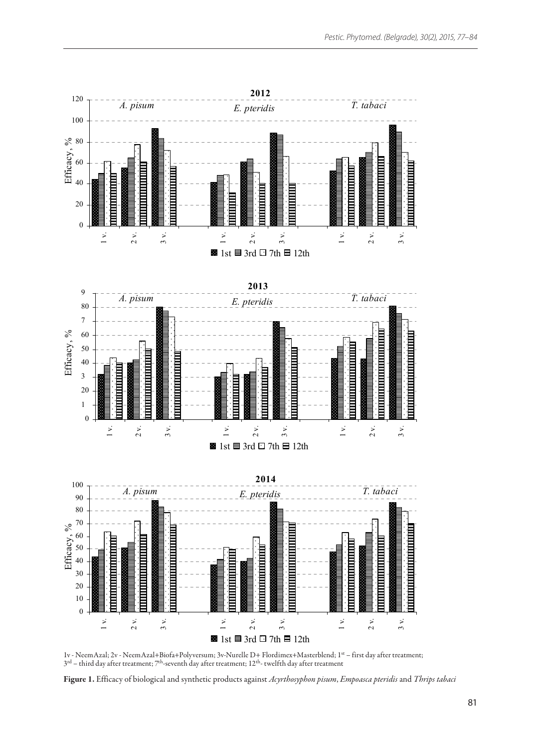

1v - NeemAzal; 2v - NeemAzal+Biofa+Polyversum; 3v-Nurelle D+ Flordimex+Masterblend; 1st – first day after treatment;  $3^{\rm rd}$  – third day after treatment;  $7^{\rm th}$ -seventh day after treatment;  $12^{\rm th}$ - twelfth day after treatment

Figure 1. Efficacy of biological and synthetic products against *Acyrthosyphon pisum*, *Empoasca pteridis* and *Thrips tabaci*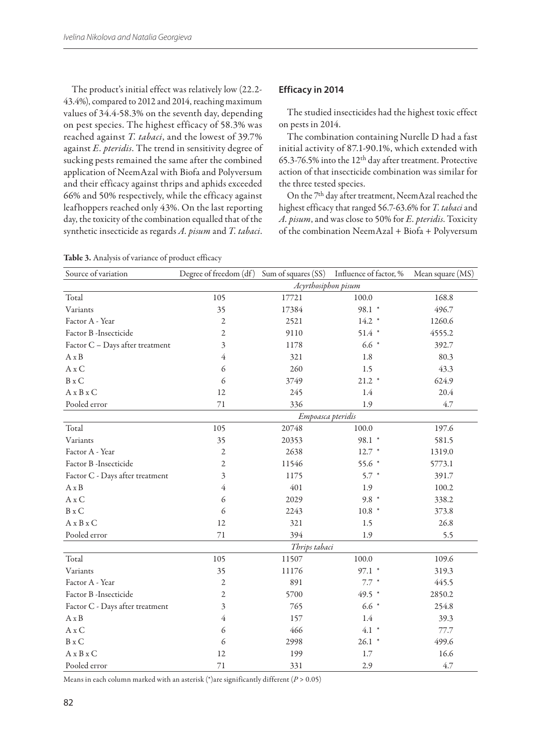The product's initial effect was relatively low (22.2- 43.4%), compared to 2012 and 2014, reaching maximum values of 34.4-58.3% on the seventh day, depending on pest species. The highest efficacy of 58.3% was reached against *T. tabaci*, and the lowest of 39.7% against *E. pteridis*. The trend in sensitivity degree of sucking pests remained the same after the combined application of NeemAzal with Biofa and Polyversum and their efficacy against thrips and aphids exceeded 66% and 50% respectively, while the efficacy against leafhoppers reached only 43%. On the last reporting day, the toxicity of the combination equalled that of the synthetic insecticide as regards *A. pisum* and *T. tabaci*.

#### **Efficacy in 2014**

The studied insecticides had the highest toxic effect on pests in 2014.

The combination containing Nurelle D had a fast initial activity of 87.1-90.1%, which extended with 65.3-76.5% into the 12th day after treatment. Protective action of that insecticide combination was similar for the three tested species.

On the 7th day after treatment, NeemAzal reached the highest efficacy that ranged 56.7-63.6% for *T. tabaci* and *A. pisum*, and was close to 50% for *E. pteridis*. Toxicity of the combination NeemAzal + Biofa + Polyversum

| Source of variation                  | Degree of freedom (df) Sum of squares (SS) Influence of factor, % |       |          | Mean square (MS) |  |  |  |
|--------------------------------------|-------------------------------------------------------------------|-------|----------|------------------|--|--|--|
|                                      | Acyrthosiphon pisum                                               |       |          |                  |  |  |  |
| Total                                | 105                                                               | 17721 | 100.0    | 168.8            |  |  |  |
| Variants                             | 35                                                                | 17384 | 98.1 *   | 496.7            |  |  |  |
| Factor A - Year                      | 2                                                                 | 2521  | $14.2*$  | 1260.6           |  |  |  |
| Factor B -Insecticide                | 2                                                                 | 9110  | $51.4$ * | 4555.2           |  |  |  |
| Factor C - Days after treatment      | 3                                                                 | 1178  | $6.6 *$  | 392.7            |  |  |  |
| $A \times B$                         | 4                                                                 | 321   | 1.8      | 80.3             |  |  |  |
| $A \times C$                         | 6                                                                 | 260   | 1.5      | 43.3             |  |  |  |
| $B \times C$                         | 6                                                                 | 3749  | $21.2$ * | 624.9            |  |  |  |
| $A \times B \times C$                | 12                                                                | 245   | 1.4      | 20.4             |  |  |  |
| Pooled error                         | 71                                                                | 336   | 1.9      | 4.7              |  |  |  |
|                                      | Empoasca pteridis                                                 |       |          |                  |  |  |  |
| Total                                | 105                                                               | 20748 | 100.0    | 197.6            |  |  |  |
| Variants                             | 35                                                                | 20353 | 98.1 *   | 581.5            |  |  |  |
| Factor A - Year                      | $\mathfrak{2}$                                                    | 2638  | $12.7$ * | 1319.0           |  |  |  |
| Factor B - Insecticide               | $\mathfrak{2}$                                                    | 11546 | 55.6 *   | 5773.1           |  |  |  |
| Factor C - Days after treatment      | 3                                                                 | 1175  | $5.7*$   | 391.7            |  |  |  |
| $A \times B$                         | 4                                                                 | 401   | 1.9      | 100.2            |  |  |  |
| $A \times C$                         | 6                                                                 | 2029  | $9.8*$   | 338.2            |  |  |  |
| $B \times C$                         | 6                                                                 | 2243  | $10.8*$  | 373.8            |  |  |  |
| $A \times B \times C$                | 12                                                                | 321   | 1.5      | 26.8             |  |  |  |
| Pooled error                         | $71\,$                                                            | 394   | 1.9      | 5.5              |  |  |  |
|                                      | Thrips tabaci                                                     |       |          |                  |  |  |  |
| Total                                | 105                                                               | 11507 | 100.0    | 109.6            |  |  |  |
| Variants                             | 35                                                                | 11176 | $97.1$ * | 319.3            |  |  |  |
| Factor A - Year                      | 2                                                                 | 891   | $7.7*$   | 445.5            |  |  |  |
| Factor B - Insecticide               | $\mathfrak{2}$                                                    | 5700  | 49.5 *   | 2850.2           |  |  |  |
| Factor C - Days after treatment      | 3                                                                 | 765   | $6.6 *$  | 254.8            |  |  |  |
| $\mathbf{A}\,\mathbf{x}\,\mathbf{B}$ | 4                                                                 | 157   | 1.4      | 39.3             |  |  |  |
| $A \times C$                         | 6                                                                 | 466   | $4.1 *$  | 77.7             |  |  |  |
| B x C                                | 6                                                                 | 2998  | $26.1$ * | 499.6            |  |  |  |
| $A \times B \times C$                | 12                                                                | 199   | 1.7      | 16.6             |  |  |  |
| Pooled error                         | 71                                                                | 331   | 2.9      | 4.7              |  |  |  |

Means in each column marked with an asterisk (\*)are significantly different (*P* > 0.05)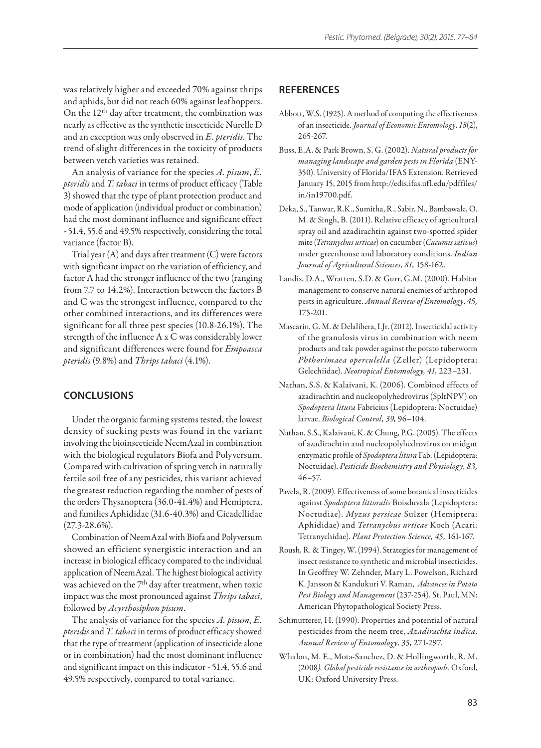was relatively higher and exceeded 70% against thrips and aphids, but did not reach 60% against leafhoppers. On the 12th day after treatment, the combination was nearly as effective as the synthetic insecticide Nurelle D and an exception was only observed in *E. pteridis*. The trend of slight differences in the toxicity of products between vetch varieties was retained.

An analysis of variance for the species *A. pisum*, *E. pteridis* and *T. tabaci* in terms of product efficacy (Table 3) showed that the type of plant protection product and mode of application (individual product or combination) had the most dominant influence and significant effect - 51.4, 55.6 and 49.5% respectively, considering the total variance (factor B).

Trial year (A) and days after treatment (C) were factors with significant impact on the variation of efficiency, and factor A had the stronger influence of the two (ranging from 7.7 to 14.2%). Interaction between the factors B and C was the strongest influence, compared to the other combined interactions, and its differences were significant for all three pest species (10.8-26.1%). The strength of the influence A x C was considerably lower and significant differences were found for *Empoasca pteridis* (9.8%) and *Thrips tabaci* (4.1%).

## **Conclusions**

Under the organic farming systems tested, the lowest density of sucking pests was found in the variant involving the bioinsecticide NeemAzal in combination with the biological regulators Biofa and Polyversum. Compared with cultivation of spring vetch in naturally fertile soil free of any pesticides, this variant achieved the greatest reduction regarding the number of pests of the orders Thysanoptera (36.0-41.4%) and Hemiptera, and families Aphididae (31.6-40.3%) and Cicadellidae  $(27.3 - 28.6\%)$ .

Combination of NeemAzal with Biofa and Polyversum showed an efficient synergistic interaction and an increase in biological efficacy compared to the individual application of NeemAzal. The highest biological activity was achieved on the 7th day after treatment, when toxic impact was the most pronounced against *Thrips tabaci*, followed by *Acyrthosiphon pisum*.

The analysis of variance for the species *A. pisum*, *E. pteridis* and *T. tabaci* in terms of product efficacy showed that the type of treatment (application of insecticide alone or in combination) had the most dominant influence and significant impact on this indicator - 51.4, 55.6 and 49.5% respectively, compared to total variance.

## **ReferenceS**

- Abbott, W.S. (1925). A method of computing the effectiveness of an insecticide*. Journal of Economic Entomology*, *18*(2), 265-267.
- Buss, E.A. & Park Brown, S. G. (2002). *Natural products for managing landscape and garden pests in Florida* (ENY-350). University of Florida/IFAS Extension. Retrieved January 15, 2015 from http://edis.ifas.ufl.edu/pdffiles/ in/in19700.pdf.
- Deka, S., Tanwar, R.K., Sumitha, R., Sabir, N., Bambawale, O. M. & Singh, B. (2011). Relative efficacy of agricultural spray oil and azadirachtin against two-spotted spider mite (*Tetranychus urticae*) on cucumber (*Cucumis sativus*) under greenhouse and laboratory conditions. *Indian Journal of Agricultural Sciences*, *81,* 158-162.
- Landis, D.A., Wratten, S.D. & Gurr, G.M. (2000). Habitat management to conserve natural enemies of arthropod pests in agriculture. *Annual Review of Entomology*, *45,* 175-201.
- Mascarin, G. M. & Delalibera, I.Jr. (2012). Insecticidal activity of the granulosis virus in combination with neem products and talc powder against the potato tuberworm *Phthorimaea operculella* (Zeller) (Lepidoptera: Gelechiidae). *Neotropical Entomology, 41,* 223–231.
- Nathan, S.S. & Kalaivani, K. (2006). Combined effects of azadirachtin and nucleopolyhedrovirus (SpltNPV) on *Spodoptera litura* Fabricius (Lepidoptera: Noctuidae) larvae. *Biological Control, 39,* 96–104.
- Nathan, S.S., Kalaivani, K. & Chung, P.G. (2005). The effects of azadirachtin and nucleopolyhedrovirus on midgut enzymatic profile of *Spodoptera litura* Fab. (Lepidoptera: Noctuidae). *Pesticide Biochemistry and Physiology, 83,* 46–57.
- Pavela, R. (2009). Effectiveness of some botanical insecticides against *Spodoptera littoralis* Boisduvala (Lepidoptera: Noctudiae). *Myzus persicae* Sulzer (Hemiptera: Aphididae) and *Tetranychus urticae* Koch (Acari: Tetranychidae). *Plant Protection Science, 45,* 161-167.
- Roush, R. & Tingey, W. (1994). Strategies for management of insect resistance to synthetic and microbial insecticides. In Geoffrey W. Zehnder, Mary L. Powelson, Richard K. Jansson & Kandukuri V. Raman,  *Advances in Potato Pest Biology and Management* (237-254)*.* St. Paul, MN: American Phytopathological Society Press.
- Schmutterer, H. (1990). Properties and potential of natural pesticides from the neem tree, *Azadirachta indica*. *Annual Review of Entomology, 35,* 271-297.
- Whalon, M. E., Mota-Sanchez, D. & Hollingworth, R. M. (2008*). Global pesticide resistance in arthropods*. Oxford, UK: Oxford University Press.